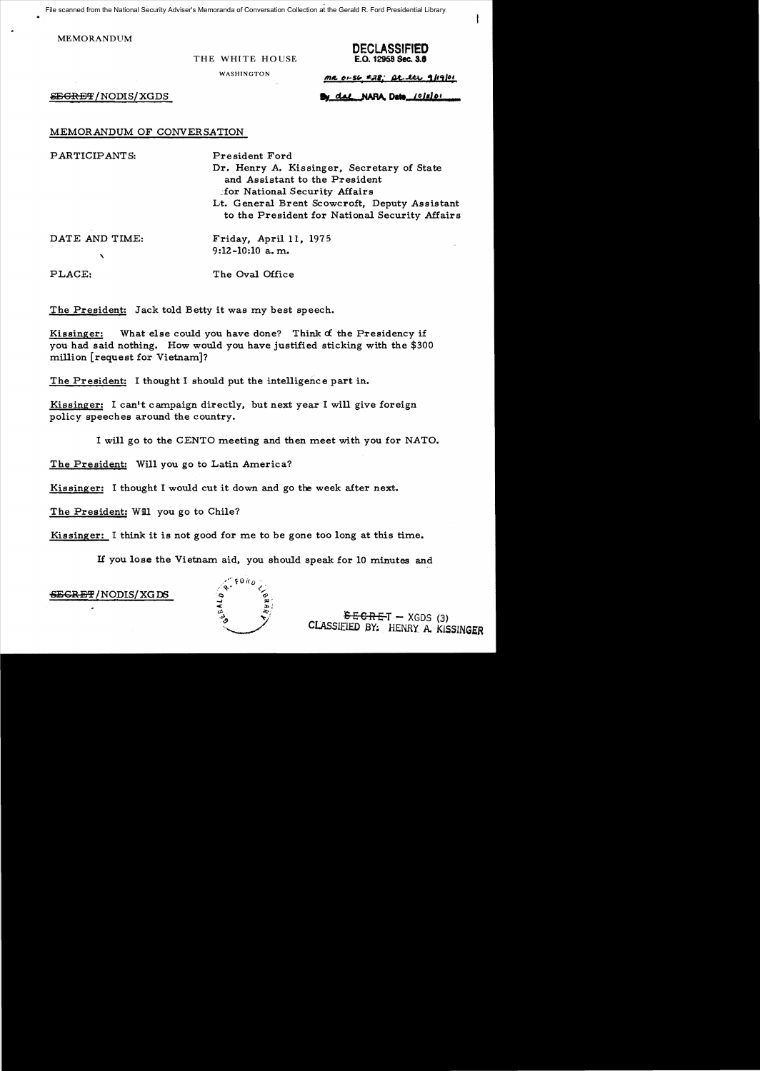File scanned from the National Security Adviser's Memoranda of Conversation Collection at the Gerald R. Ford Presidential Library

MEMORANDUM

**THE WHITE HOUSE** 

**DECLASSIFIED** 

WASHINGTON

 $mc$  01-56  $228$ ; At lts 9/19/01

 $S \to \text{GREF}/\text{NODIS}/\text{XGDS}$  **By dat NARA, Date** *(Olslo)* 

MEMORANDUM OF CONVERSATION

PARTICIPANTS: President Ford

Dr. Henry A. Kissinger. Secretary of State and Assistant to the President ~:for National Security Affairs Lt. General Brent Scowcroft. Deputy Assistant to the President for National Security Affairs

 $\mathbf{v}$ 

DATE AND TIME: Friday, April 11, 1975 9:12-10:10 a. m.

PLACE: The Oval Office

The President: Jack told Betty it was my best speech.

Kissinger: What else could you have done? Think *d* the Presidency if you had said nothing. How would you have justified sticking with the \$300 million [request for Vietnam]?

The President: I thought I should put the intelligence part in.

Kissinger: I can't campaign directly, but next year I will give foreign policy speeches around the country.

I will go to the CENTO meeting and then meet with you for NATO.

The President: Will you go to Latin America?

Kissinger: I thought I would cut it down and go the week after next.

The President: Will you go to Chile?

Kissinger: I think it is not good for me to be gone too long at this time.

If you lose the Vietnam aid. you should speak for 10 minutes and

SEGRET/NODIS/XGDS



 $E-GRE-T - XGDS$  (3)<br>CLASSIFIED BY: HENRY. A. KISSINGER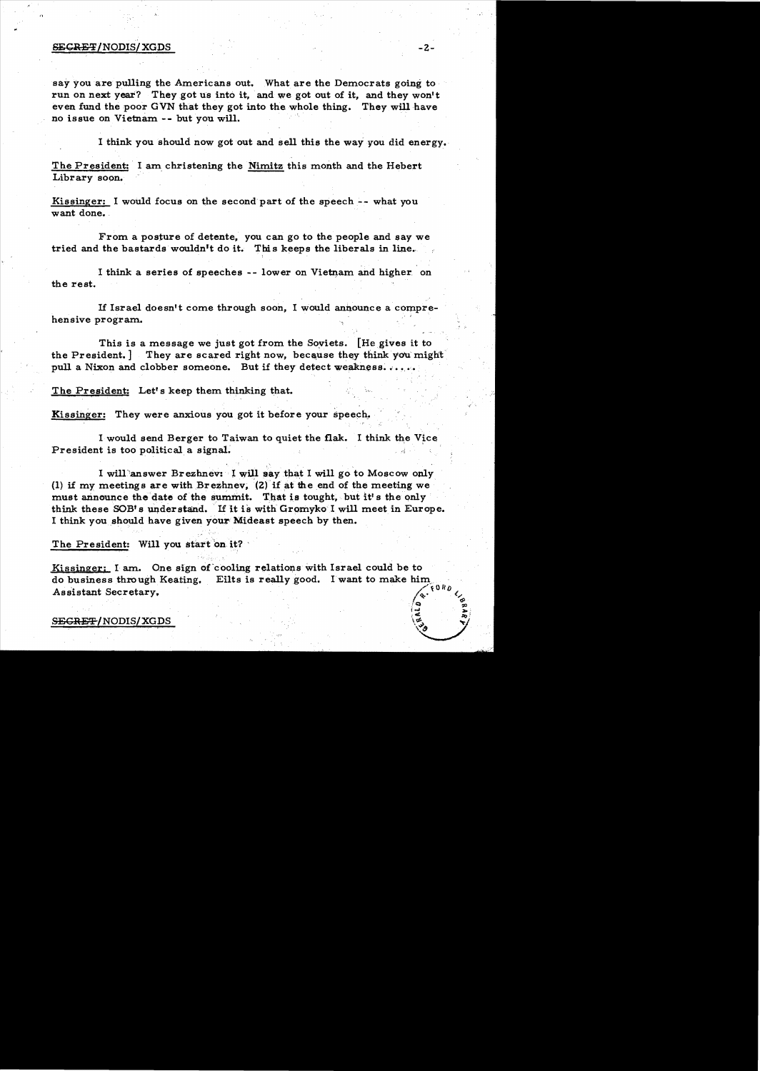#### ${{\bf SECREF/NODIS/XGDS}}$  -2-

say you are pulling the Americans out. What are the Democrats going to run on next year? They got us into it, and we got out of it, and they won't even fund the poor GVN that they got into the whole thing. They will have no issue on Vietnam -- but you will.

I think you should now got out and sell this the way you did energy.

The President: I am christening the Nimitz this month and the Hebert Library soon.

Kissinger: I would focus on the second part of the speech-- what you want done.

From a posture of detente, you can go to the people and say we tried and the bastards wouldn<sup>'t</sup> do it. This keeps the liberals in line.

I think a series of speeches -- lower on Vietnam and higher on the rest.

If Israel doesn't come through soon, I would announce a comprehensive program.

This is a message we just got from the Soviets. [He gives it to the President. ] They are scared right now, because they think you might pull a Nixon and clobber someone. But if they detect weakness.  $\dots$ .

The President: Let's keep them thinking that.

Kissinger: They were anxious you got it before your speech.

I would send Berger to Taiwan to quiet the flak. I think the Vice President is too political a signal.

I will answer Brezhnev: I will say that I will go to Moscow only (1) if my meetings are with Brezhnev. (2) if at the end of the meeting we must announce the date of the summit. That is tought, but it's the only think these SOB's understand. If it is with Gromyko I will meet in Europe. I think you should have given your Mideast speech by then.

The President: Will you start on it?

Kissinger: I am. One sign of cooling relations with Israel could be to do business through Keating. Eilts is really good. I want to make him Assistant Secretary.

 $SE$ GRET/NODIS/XGDS  $\frac{1}{2}$ 

'/<:1 :;:c *i.....* ~;  $\vert\vec{e}\vert$  , and  $\vert\vec{s}\vert$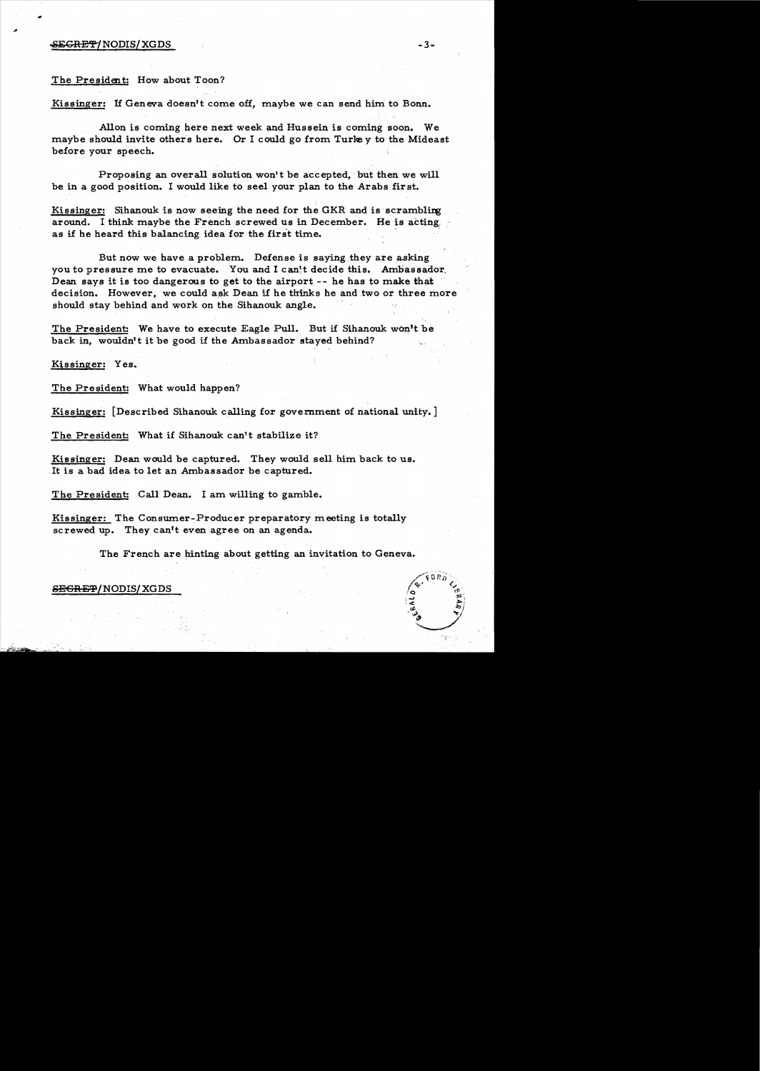### $\overline{\text{SEGREP}}$ /NODIS/XGDS -3-

#### The President: How about Toon?

Kissinger: If Geneva doesn't come off, maybe we can send him to Bonn.

Allon is coming here next week and Hussein is coming soon. We maybe should invite others here. Or I could go from Turkey to the Mideast before your speech.

Proposing an overall solution won't be accepted, but then we will be in a good position. I would like to seel your plan to the Arabs first.

Kissinger: Sihanouk is now seeing the need for the GKR and is scrambling around. I think maybe the French screwed us in December. He is acting. as if he heard this balancing idea for the first time.

But now we have a problem. Defense is saying they are asking you to pressure me to evacuate. You and I can't decide this. Ambassador, Dean says it is too dangerous to get to the airport --he has to make that decision. However, we could ask Dean if he thinks he and two or three more should stay behind and work on the Sihanouk angle.

The President: We have to execute Eagle Pull. But if Sihanouk won't be back in, wouldn't it be good if the Ambassador stayed behind?

Kissinger: Yes.

The President: What would happen?

Kissinger: [Described Sihanouk calling for government of national unity. ]

The President: What if Sihanouk can't stabilize it?

Kissinger: Dean would be captured. They would sell him back to us. It is a bad idea to let an Ambassador be captured.

The President: Call Dean. I am willing to gamble.

Kissinger: The Consumer-Producer preparatory meeting is totally screwed up. They can't even agree on an agenda.

The French are hinting about getting an invitation to Geneva.

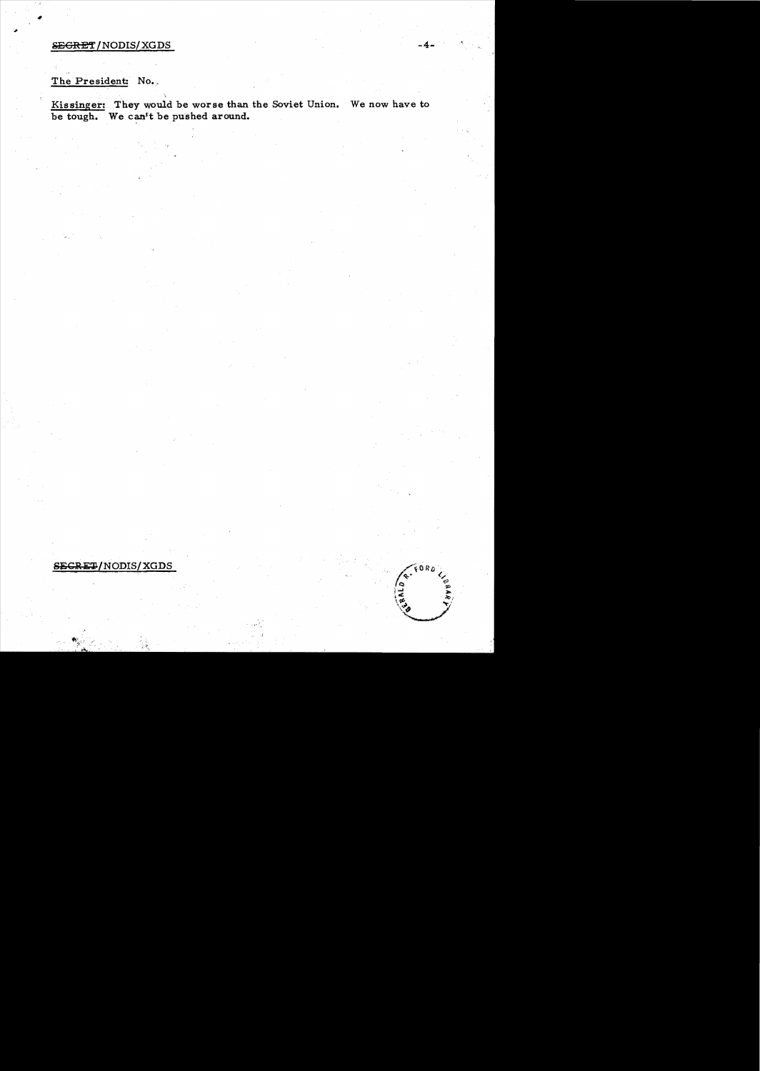## **SEGRET/NODIS/XGDS**

# The President: No.

Kissinger: They would be worse than the Soviet Union. We now have to be tough. We can't be pushed around.

### SECRET/NODIS/XGDS

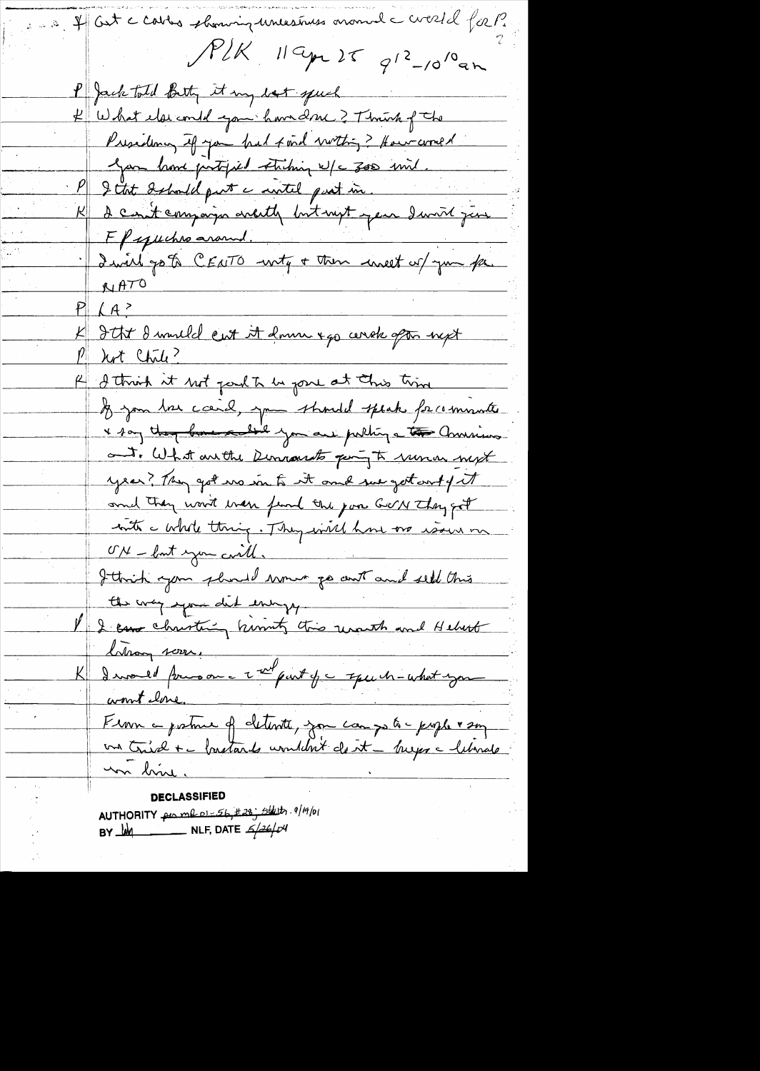If Get a cables showing unestruss around a crossed for P.  $P/K$  119pm 25  $q^{12}$ -10<sup>10</sup>an P Jack told Beth it my lost speech K What else could game have 2 Thrush of the Presidency of you had find within ? How world gan home partified striking w/c 300 mil. I that Ishould put a witel pust in. K I can't compariso arcity but not jear I with just Ff yuches around. I david go to CEATO -wity + then uneet of you for **WATO**  $P_{\perp}$ K Itt danneld eut it domn 440 cerek opt nyt <u>Part Chile?</u> R I think it not park to be pose at this time If you has card, you should speak facementer x 1 any than businessed you are pulling a to Commissions. out. What are the Democrats peryto runar myt year? They got we in to it and surgestart of it and they won't wen fund the join GON They got with a whole thing. They will have no would me ON - but you cwill. Ittrich your pluned wour po cent and seld this the way your did envy, I I can christing himsty this reventh and Hebert Changement I would press on a 2 and part of a squeen-what you <u>K|</u> <u>wont love.</u> France protier de detente, son camps à prophet son un bine. DECLASSIFIED AUTHORITY per me 01-56, #28; stats. 9/19/01

BY  $M$  NLF, DATE  $\frac{2}{4}$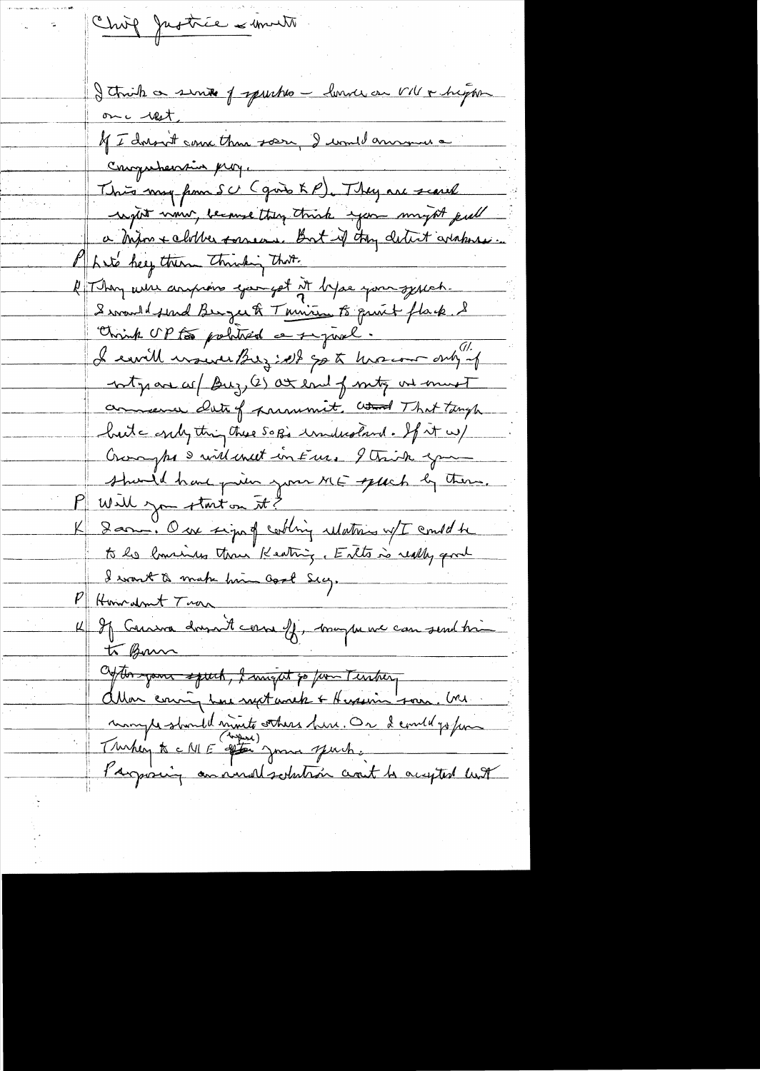Chief Justice & month I think a sinte of spurhes - lunde on VIV & higher onc rest. of I doron't come than sorry I would announce Conguherain prof. This my from SC (good KP). They are scared regist nom because they think you might piel a mon + clother someone But if they detect arabores. Let's help there thinking that. If They were anyward you got it by se you systect. Swanddolind Benger & Tanism to print flack. S Chrish OP to political a signal.  $\overline{a}$ I can't would be just go to her court only of ntgrave as (Buz, (2) at end of mity one must commence date of paramete, and That tangle hute only thing these SOB's understand. If it w/ Crossyps & will uneet in Euro 9 Trick game should have prim your ME speech by them. Public you start on it? K Darm. Our sign of cooling ulations w/I could be to be lowing than Keating, Ento is really good I want to make him Good Secy. P Howardrout Trace 4 If Carson douzant comme ff, maybe we can send tri to Bonn Obton your speech, I might go from Terrbery allon couring how next work + Hersein- som. Un monptestaniel monte sthere here. On devoted go fun